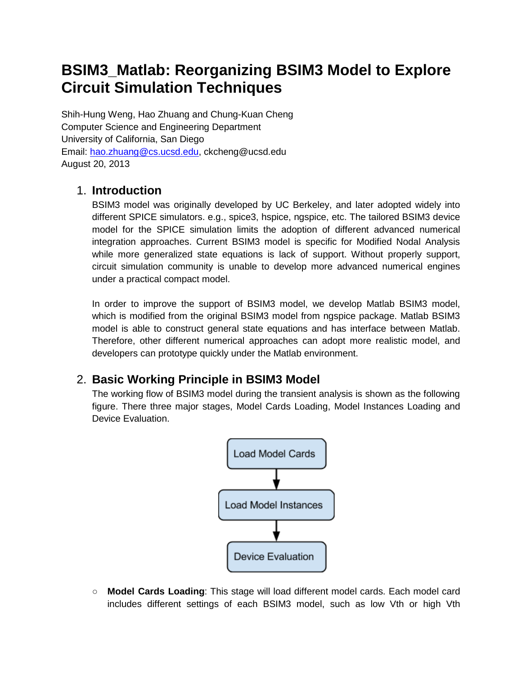# **BSIM3\_Matlab: Reorganizing BSIM3 Model to Explore Circuit Simulation Techniques**

Shih-Hung Weng, Hao Zhuang and Chung-Kuan Cheng Computer Science and Engineering Department University of California, San Diego Email: [hao.zhuang@cs.ucsd.edu,](mailto:hao.zhuang@cs.ucsd.edu) ckcheng@ucsd.edu August 20, 2013

## 1. **Introduction**

BSIM3 model was originally developed by UC Berkeley, and later adopted widely into different SPICE simulators. e.g., spice3, hspice, ngspice, etc. The tailored BSIM3 device model for the SPICE simulation limits the adoption of different advanced numerical integration approaches. Current BSIM3 model is specific for Modified Nodal Analysis while more generalized state equations is lack of support. Without properly support, circuit simulation community is unable to develop more advanced numerical engines under a practical compact model.

In order to improve the support of BSIM3 model, we develop Matlab BSIM3 model, which is modified from the original BSIM3 model from ngspice package. Matlab BSIM3 model is able to construct general state equations and has interface between Matlab. Therefore, other different numerical approaches can adopt more realistic model, and developers can prototype quickly under the Matlab environment.

## 2. **Basic Working Principle in BSIM3 Model**

The working flow of BSIM3 model during the transient analysis is shown as the following figure. There three major stages, Model Cards Loading, Model Instances Loading and Device Evaluation.



○ **Model Cards Loading**: This stage will load different model cards. Each model card includes different settings of each BSIM3 model, such as low Vth or high Vth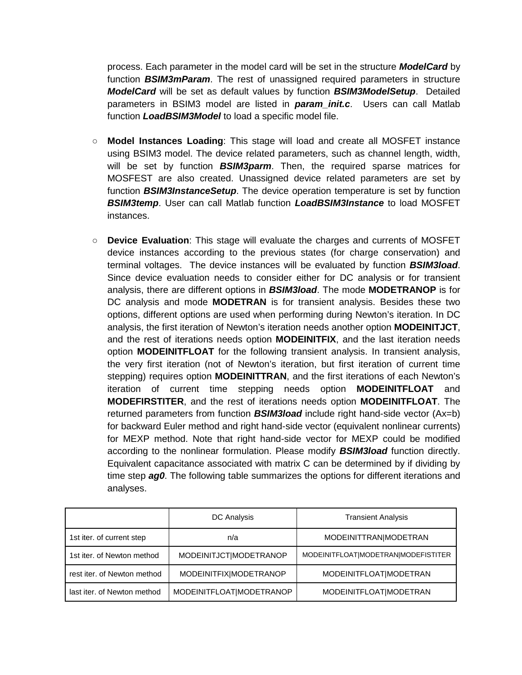process. Each parameter in the model card will be set in the structure *ModelCard* by function *BSIM3mParam*. The rest of unassigned required parameters in structure *ModelCard* will be set as default values by function *BSIM3ModelSetup*. Detailed parameters in BSIM3 model are listed in *param\_init.c*. Users can call Matlab function *LoadBSIM3Model* to load a specific model file.

- **Model Instances Loading**: This stage will load and create all MOSFET instance using BSIM3 model. The device related parameters, such as channel length, width, will be set by function *BSIM3parm*. Then, the required sparse matrices for MOSFEST are also created. Unassigned device related parameters are set by function *BSIM3InstanceSetup*. The device operation temperature is set by function *BSIM3temp*. User can call Matlab function *LoadBSIM3Instance* to load MOSFET instances.
- **Device Evaluation**: This stage will evaluate the charges and currents of MOSFET device instances according to the previous states (for charge conservation) and terminal voltages. The device instances will be evaluated by function *BSIM3load*. Since device evaluation needs to consider either for DC analysis or for transient analysis, there are different options in *BSIM3load*. The mode **MODETRANOP** is for DC analysis and mode **MODETRAN** is for transient analysis. Besides these two options, different options are used when performing during Newton's iteration. In DC analysis, the first iteration of Newton's iteration needs another option **MODEINITJCT**, and the rest of iterations needs option **MODEINITFIX**, and the last iteration needs option **MODEINITFLOAT** for the following transient analysis. In transient analysis, the very first iteration (not of Newton's iteration, but first iteration of current time stepping) requires option **MODEINITTRAN**, and the first iterations of each Newton's iteration of current time stepping needs option **MODEINITFLOAT MODEFIRSTITER**, and the rest of iterations needs option **MODEINITFLOAT**. The returned parameters from function *BSIM3load* include right hand-side vector (Ax=b) for backward Euler method and right hand-side vector (equivalent nonlinear currents) for MEXP method. Note that right hand-side vector for MEXP could be modified according to the nonlinear formulation. Please modify *BSIM3load* function directly. Equivalent capacitance associated with matrix C can be determined by if dividing by time step *ag0*. The following table summarizes the options for different iterations and analyses.

|                             | <b>DC</b> Analysis       | <b>Transient Analysis</b>           |
|-----------------------------|--------------------------|-------------------------------------|
| 1st iter. of current step   | n/a                      | MODEINITTRAN MODETRAN               |
| 1st iter, of Newton method  | MODEINITJCT MODETRANOP   | MODEINITFLOAT MODETRAN MODEFISTITER |
| rest iter, of Newton method | MODEINITFIX MODETRANOP   | MODEINITFLOAT MODETRAN              |
| last iter, of Newton method | MODEINITFLOAT MODETRANOP | MODEINITFLOATIMODETRAN              |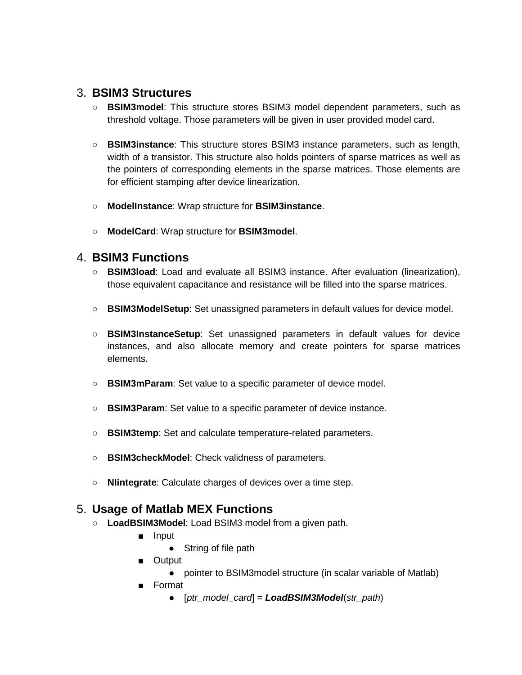### 3. **BSIM3 Structures**

- **○ BSIM3model**: This structure stores BSIM3 model dependent parameters, such as threshold voltage. Those parameters will be given in user provided model card.
- **○ BSIM3instance**: This structure stores BSIM3 instance parameters, such as length, width of a transistor. This structure also holds pointers of sparse matrices as well as the pointers of corresponding elements in the sparse matrices. Those elements are for efficient stamping after device linearization.
- **○ ModelInstance**: Wrap structure for **BSIM3instance**.
- **○ ModelCard**: Wrap structure for **BSIM3model**.

#### 4. **BSIM3 Functions**

- **○ BSIM3load**: Load and evaluate all BSIM3 instance. After evaluation (linearization), those equivalent capacitance and resistance will be filled into the sparse matrices.
- **○ BSIM3ModelSetup**: Set unassigned parameters in default values for device model.
- **○ BSIM3InstanceSetup**: Set unassigned parameters in default values for device instances, and also allocate memory and create pointers for sparse matrices elements.
- **○ BSIM3mParam**: Set value to a specific parameter of device model.
- **○ BSIM3Param**: Set value to a specific parameter of device instance.
- **○ BSIM3temp**: Set and calculate temperature-related parameters.
- **○ BSIM3checkModel**: Check validness of parameters.
- **○ NIintegrate**: Calculate charges of devices over a time step.

### 5. **Usage of Matlab MEX Functions**

- **○ LoadBSIM3Model**: Load BSIM3 model from a given path.
	- **■** Input
		- **●** String of file path
	- Output
		- **●** pointer to BSIM3model structure (in scalar variable of Matlab)
	- **■** Format
		- **●** [*ptr\_model\_card*] = *LoadBSIM3Model*(*str\_path*)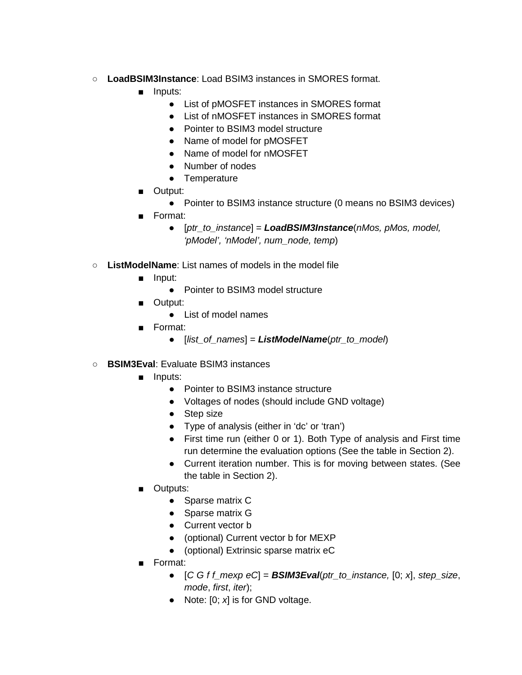- **○ LoadBSIM3Instance**: Load BSIM3 instances in SMORES format.
	- **■** Inputs:
		- **●** List of pMOSFET instances in SMORES format
		- **●** List of nMOSFET instances in SMORES format
		- **●** Pointer to BSIM3 model structure
		- **●** Name of model for pMOSFET
		- **●** Name of model for nMOSFET
		- **●** Number of nodes
		- **●** Temperature
	- Output:
		- **●** Pointer to BSIM3 instance structure (0 means no BSIM3 devices)
	- **■** Format:
		- **●** [*ptr\_to\_instance*] = *LoadBSIM3Instance*(*nMos, pMos, model, 'pModel', 'nModel', num\_node, temp*)
- **○ ListModelName**: List names of models in the model file
	- **■** Input:
		- **●** Pointer to BSIM3 model structure
	- **■** Output:
		- **●** List of model names
	- **■** Format:
		- **●** [*list\_of\_names*] = *ListModelName*(*ptr\_to\_model*)
- **○ BSIM3Eval**: Evaluate BSIM3 instances
	- **■** Inputs:
		- **●** Pointer to BSIM3 instance structure
		- **●** Voltages of nodes (should include GND voltage)
		- **●** Step size
		- **●** Type of analysis (either in 'dc' or 'tran')
		- **●** First time run (either 0 or 1). Both Type of analysis and First time run determine the evaluation options (See the table in Section 2).
		- **●** Current iteration number. This is for moving between states. (See the table in Section 2).
	- **■** Outputs:
		- **●** Sparse matrix C
		- **●** Sparse matrix G
		- **●** Current vector b
		- **●** (optional) Current vector b for MEXP
		- **●** (optional) Extrinsic sparse matrix eC
	- **■** Format:
		- **●** [*C G f f\_mexp eC*] = *BSIM3Eval*(*ptr\_to\_instance,* [0; *x*], *step\_size*, *mode*, *first*, *iter*);
		- **●** Note: [0; *x*] is for GND voltage.